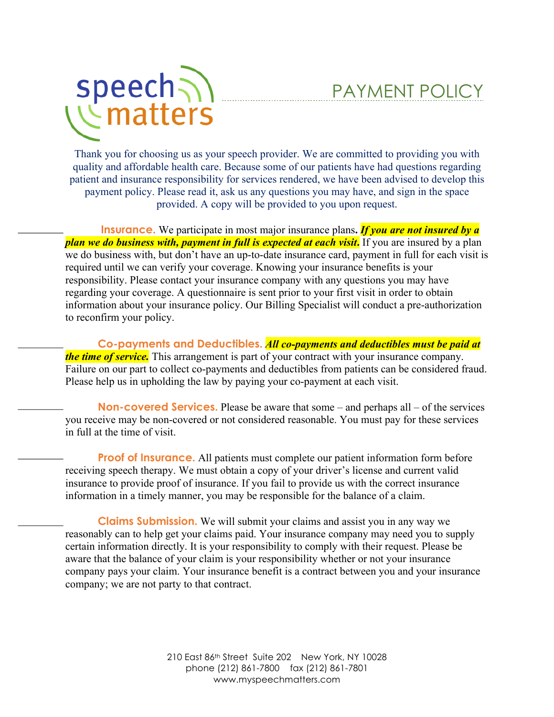

## PAYMENT POLICY

Thank you for choosing us as your speech provider. We are committed to providing you with quality and affordable health care. Because some of our patients have had questions regarding patient and insurance responsibility for services rendered, we have been advised to develop this payment policy. Please read it, ask us any questions you may have, and sign in the space provided. A copy will be provided to you upon request.

**Insurance.** We participate in most major insurance plans**.** *If you are not insured by a plan we do business with, payment in full is expected at each visit***.** If you are insured by a plan we do business with, but don't have an up-to-date insurance card, payment in full for each visit is required until we can verify your coverage. Knowing your insurance benefits is your responsibility. Please contact your insurance company with any questions you may have regarding your coverage. A questionnaire is sent prior to your first visit in order to obtain information about your insurance policy. Our Billing Specialist will conduct a pre-authorization to reconfirm your policy.

**Co-payments and Deductibles.** *All co-payments and deductibles must be paid at the time of service*. This arrangement is part of your contract with your insurance company. Failure on our part to collect co-payments and deductibles from patients can be considered fraud. Please help us in upholding the law by paying your co-payment at each visit.

**Non-covered Services.** Please be aware that some – and perhaps all – of the services you receive may be non-covered or not considered reasonable. You must pay for these services in full at the time of visit.

**Proof of Insurance.** All patients must complete our patient information form before receiving speech therapy. We must obtain a copy of your driver's license and current valid insurance to provide proof of insurance. If you fail to provide us with the correct insurance information in a timely manner, you may be responsible for the balance of a claim.

**Claims Submission.** We will submit your claims and assist you in any way we reasonably can to help get your claims paid. Your insurance company may need you to supply certain information directly. It is your responsibility to comply with their request. Please be aware that the balance of your claim is your responsibility whether or not your insurance company pays your claim. Your insurance benefit is a contract between you and your insurance company; we are not party to that contract.